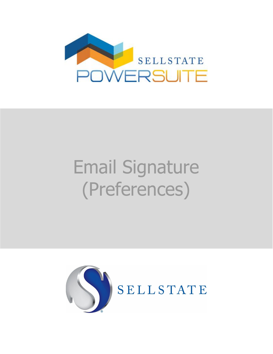

## Email Signature (Preferences)

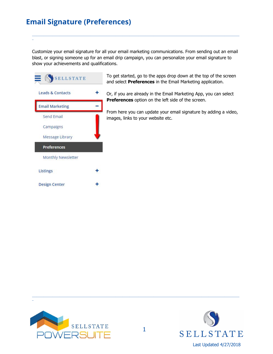## **Email Signature (Preferences)**

\_

Customize your email signature for all your email marketing communications. From sending out an email blast, or signing someone up for an email drip campaign, you can personalize your email signature to show your achievements and qualifications.

\_\_\_\_\_\_\_\_\_\_\_\_\_\_\_\_\_\_\_\_\_\_\_\_\_\_\_\_\_\_\_\_\_\_\_\_\_\_\_\_\_\_\_\_\_\_\_\_\_\_\_\_\_\_\_\_\_\_\_\_\_\_\_\_\_\_\_\_\_\_\_\_\_\_\_\_\_\_\_\_\_\_\_\_\_\_\_\_\_\_\_\_\_\_\_\_\_\_\_\_\_\_\_\_\_\_\_\_\_\_\_\_\_\_\_\_\_\_\_\_\_\_\_\_\_\_\_\_\_\_\_\_\_\_\_\_\_\_\_\_\_\_



To get started, go to the apps drop down at the top of the screen and select **Preferences** in the Email Marketing application.

Or, if you are already in the Email Marketing App, you can select **Preferences** option on the left side of the screen.

From here you can update your email signature by adding a video, images, links to your website etc.



\_



\_\_\_\_\_\_\_\_\_\_\_\_\_\_\_\_\_\_\_\_\_\_\_\_\_\_\_\_\_\_\_\_\_\_\_\_\_\_\_\_\_\_\_\_\_\_\_\_\_\_\_\_\_\_\_\_\_\_\_\_\_\_\_\_\_\_\_\_\_\_\_\_\_\_\_\_\_\_\_\_\_\_\_\_\_\_\_\_\_\_\_\_\_\_\_\_\_\_\_\_\_\_\_\_\_\_\_\_\_\_\_\_\_\_\_\_\_\_\_\_\_\_\_\_\_\_\_\_\_\_\_\_\_\_\_\_\_\_\_\_\_\_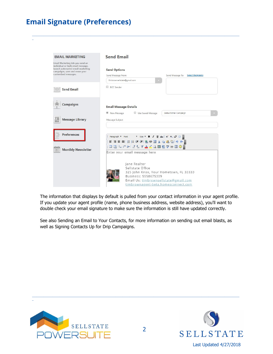## **Email Signature (Preferences)**

\_

| <b>EMAIL MARKETING</b>                                                | <b>Send Email</b>                                                                                                                                    |
|-----------------------------------------------------------------------|------------------------------------------------------------------------------------------------------------------------------------------------------|
| Email Marketing lets you send an<br>individual or bulk email message, |                                                                                                                                                      |
| launch automated email marketing<br>campaigns, save and reuse your    | <b>Send Options</b>                                                                                                                                  |
| customized messages.                                                  | Send Message To:<br>Send Message From:<br><b>Select Recipients</b>                                                                                   |
|                                                                       | timbrownsellstate@gmail.com                                                                                                                          |
| <b>Send Email</b>                                                     | <b>BCC</b> Sender                                                                                                                                    |
|                                                                       |                                                                                                                                                      |
| <b>Campaigns</b>                                                      | <b>Email Message Details</b>                                                                                                                         |
|                                                                       | New Message<br>Use Saved Message<br>Default Email Campaign                                                                                           |
| <b>Message Library</b>                                                | Message Subject                                                                                                                                      |
| ≙≜                                                                    |                                                                                                                                                      |
|                                                                       |                                                                                                                                                      |
| <b>Preferences</b>                                                    | Paragraph $\mathbf v$ Font $\mathbf v$ Size $\mathbf v$ <b>B</b> $\mathbf I$ <b>U</b> abe $\mathbf x^2$ <b>X</b> , $\mathcal D$ <b>D</b> $\mathbf p$ |
|                                                                       | 三日三目  日津津  島栄園より西周  ウヤ                                                                                                                               |
|                                                                       | ; ⊞ ⊞ B. 3° 3 1. X % Y A 4 Q M @ 9 7 H @ 8 2                                                                                                         |
|                                                                       |                                                                                                                                                      |
| <b>Monthly Newsletter</b><br>田                                        |                                                                                                                                                      |
|                                                                       | Enter your email message here                                                                                                                        |
|                                                                       |                                                                                                                                                      |
|                                                                       | Jane Realtor<br>Sellstate Office                                                                                                                     |
|                                                                       |                                                                                                                                                      |
|                                                                       | 325 John Knox, Your Hometown, FL 33333<br>Business: 5558675309<br>Email Us: timbrownsellstate@gmail.com                                              |

\_\_\_\_\_\_\_\_\_\_\_\_\_\_\_\_\_\_\_\_\_\_\_\_\_\_\_\_\_\_\_\_\_\_\_\_\_\_\_\_\_\_\_\_\_\_\_\_\_\_\_\_\_\_\_\_\_\_\_\_\_\_\_\_\_\_\_\_\_\_\_\_\_\_\_\_\_\_\_\_\_\_\_\_\_\_\_\_\_\_\_\_\_\_\_\_\_\_\_\_\_\_\_\_\_\_\_\_\_\_\_\_\_\_\_\_\_\_\_\_\_\_\_\_\_\_\_\_\_\_\_\_\_\_\_\_\_\_\_\_\_\_

The information that displays by default is pulled from your contact information in your agent profile. If you update your agent profile (name, phone business address, website address), you'll want to double check your email signature to make sure the information is still have updated correctly.

See also Sending an Email to Your Contacts, for more information on sending out email blasts, as well as Signing Contacts Up for Drip Campaigns.



\_



\_\_\_\_\_\_\_\_\_\_\_\_\_\_\_\_\_\_\_\_\_\_\_\_\_\_\_\_\_\_\_\_\_\_\_\_\_\_\_\_\_\_\_\_\_\_\_\_\_\_\_\_\_\_\_\_\_\_\_\_\_\_\_\_\_\_\_\_\_\_\_\_\_\_\_\_\_\_\_\_\_\_\_\_\_\_\_\_\_\_\_\_\_\_\_\_\_\_\_\_\_\_\_\_\_\_\_\_\_\_\_\_\_\_\_\_\_\_\_\_\_\_\_\_\_\_\_\_\_\_\_\_\_\_\_\_\_\_\_\_\_\_